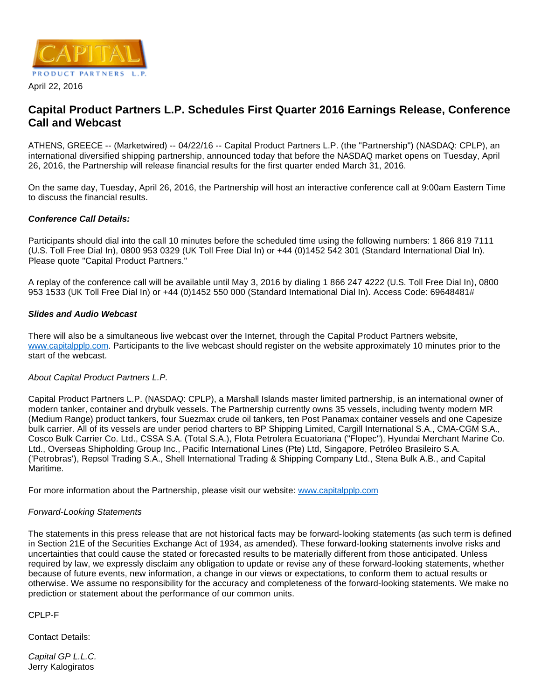

April 22, 2016

# **Capital Product Partners L.P. Schedules First Quarter 2016 Earnings Release, Conference Call and Webcast**

ATHENS, GREECE -- (Marketwired) -- 04/22/16 -- Capital Product Partners L.P. (the "Partnership") (NASDAQ: CPLP), an international diversified shipping partnership, announced today that before the NASDAQ market opens on Tuesday, April 26, 2016, the Partnership will release financial results for the first quarter ended March 31, 2016.

On the same day, Tuesday, April 26, 2016, the Partnership will host an interactive conference call at 9:00am Eastern Time to discuss the financial results.

# **Conference Call Details:**

Participants should dial into the call 10 minutes before the scheduled time using the following numbers: 1 866 819 7111 (U.S. Toll Free Dial In), 0800 953 0329 (UK Toll Free Dial In) or +44 (0)1452 542 301 (Standard International Dial In). Please quote "Capital Product Partners."

A replay of the conference call will be available until May 3, 2016 by dialing 1 866 247 4222 (U.S. Toll Free Dial In), 0800 953 1533 (UK Toll Free Dial In) or +44 (0)1452 550 000 (Standard International Dial In). Access Code: 69648481#

# **Slides and Audio Webcast**

There will also be a simultaneous live webcast over the Internet, through the Capital Product Partners website, [www.capitalpplp.com.](http://www.capitalpplp.com/) Participants to the live webcast should register on the website approximately 10 minutes prior to the start of the webcast.

### About Capital Product Partners L.P.

Capital Product Partners L.P. (NASDAQ: CPLP), a Marshall Islands master limited partnership, is an international owner of modern tanker, container and drybulk vessels. The Partnership currently owns 35 vessels, including twenty modern MR (Medium Range) product tankers, four Suezmax crude oil tankers, ten Post Panamax container vessels and one Capesize bulk carrier. All of its vessels are under period charters to BP Shipping Limited, Cargill International S.A., CMA-CGM S.A., Cosco Bulk Carrier Co. Ltd., CSSA S.A. (Total S.A.), Flota Petrolera Ecuatoriana ("Flopec"), Hyundai Merchant Marine Co. Ltd., Overseas Shipholding Group Inc., Pacific International Lines (Pte) Ltd, Singapore, Petróleo Brasileiro S.A. ('Petrobras'), Repsol Trading S.A., Shell International Trading & Shipping Company Ltd., Stena Bulk A.B., and Capital Maritime.

For more information about the Partnership, please visit our website: [www.capitalpplp.com](http://www.capitalpplp.com/)

### Forward-Looking Statements

The statements in this press release that are not historical facts may be forward-looking statements (as such term is defined in Section 21E of the Securities Exchange Act of 1934, as amended). These forward-looking statements involve risks and uncertainties that could cause the stated or forecasted results to be materially different from those anticipated. Unless required by law, we expressly disclaim any obligation to update or revise any of these forward-looking statements, whether because of future events, new information, a change in our views or expectations, to conform them to actual results or otherwise. We assume no responsibility for the accuracy and completeness of the forward-looking statements. We make no prediction or statement about the performance of our common units.

CPLP-F

Contact Details:

Capital GP L.L.C. Jerry Kalogiratos